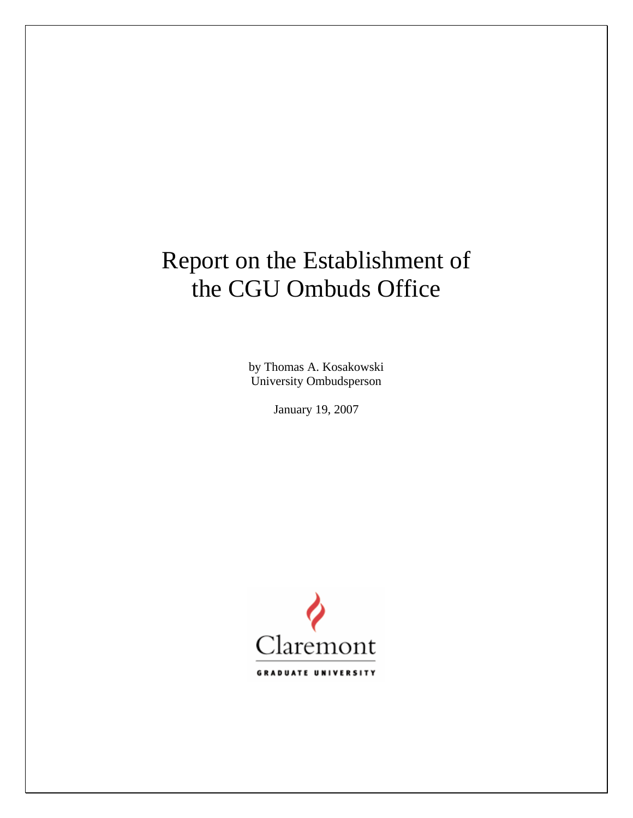# Report on the Establishment of the CGU Ombuds Office

by Thomas A. Kosakowski University Ombudsperson

January 19, 2007

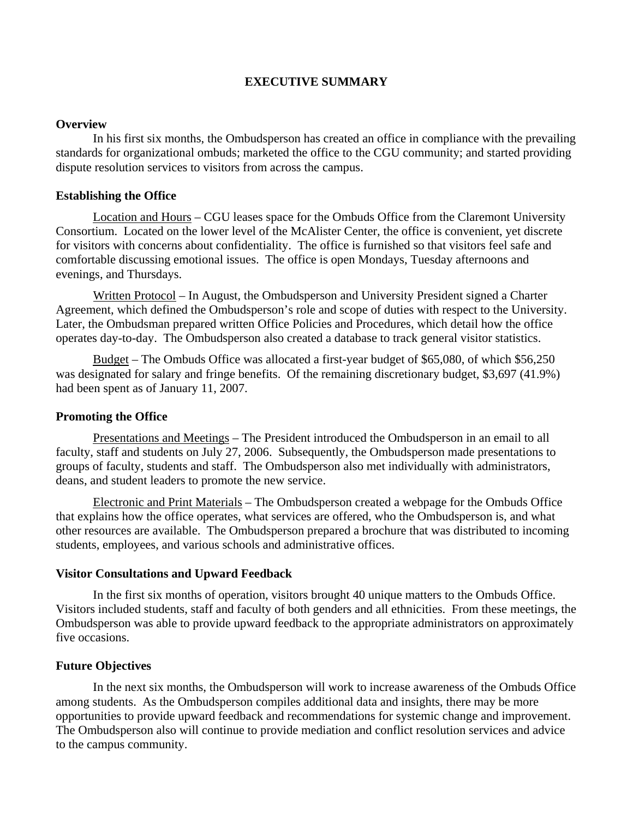# **EXECUTIVE SUMMARY**

#### **Overview**

 In his first six months, the Ombudsperson has created an office in compliance with the prevailing standards for organizational ombuds; marketed the office to the CGU community; and started providing dispute resolution services to visitors from across the campus.

#### **Establishing the Office**

Location and Hours – CGU leases space for the Ombuds Office from the Claremont University Consortium. Located on the lower level of the McAlister Center, the office is convenient, yet discrete for visitors with concerns about confidentiality. The office is furnished so that visitors feel safe and comfortable discussing emotional issues. The office is open Mondays, Tuesday afternoons and evenings, and Thursdays.

Written Protocol – In August, the Ombudsperson and University President signed a Charter Agreement, which defined the Ombudsperson's role and scope of duties with respect to the University. Later, the Ombudsman prepared written Office Policies and Procedures, which detail how the office operates day-to-day. The Ombudsperson also created a database to track general visitor statistics.

Budget – The Ombuds Office was allocated a first-year budget of \$65,080, of which \$56,250 was designated for salary and fringe benefits. Of the remaining discretionary budget, \$3,697 (41.9%) had been spent as of January 11, 2007.

#### **Promoting the Office**

Presentations and Meetings – The President introduced the Ombudsperson in an email to all faculty, staff and students on July 27, 2006. Subsequently, the Ombudsperson made presentations to groups of faculty, students and staff. The Ombudsperson also met individually with administrators, deans, and student leaders to promote the new service.

Electronic and Print Materials – The Ombudsperson created a webpage for the Ombuds Office that explains how the office operates, what services are offered, who the Ombudsperson is, and what other resources are available. The Ombudsperson prepared a brochure that was distributed to incoming students, employees, and various schools and administrative offices.

#### **Visitor Consultations and Upward Feedback**

 In the first six months of operation, visitors brought 40 unique matters to the Ombuds Office. Visitors included students, staff and faculty of both genders and all ethnicities. From these meetings, the Ombudsperson was able to provide upward feedback to the appropriate administrators on approximately five occasions.

#### **Future Objectives**

 In the next six months, the Ombudsperson will work to increase awareness of the Ombuds Office among students. As the Ombudsperson compiles additional data and insights, there may be more opportunities to provide upward feedback and recommendations for systemic change and improvement. The Ombudsperson also will continue to provide mediation and conflict resolution services and advice to the campus community.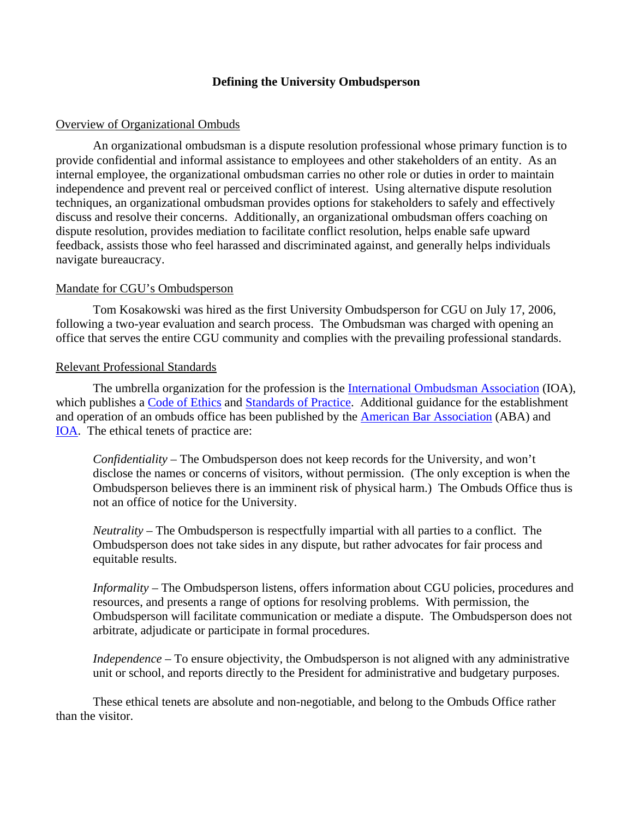# **Defining the University Ombudsperson**

#### Overview of Organizational Ombuds

 An organizational ombudsman is a dispute resolution professional whose primary function is to provide confidential and informal assistance to employees and other stakeholders of an entity. As an internal employee, the organizational ombudsman carries no other role or duties in order to maintain independence and prevent real or perceived conflict of interest. Using alternative dispute resolution techniques, an organizational ombudsman provides options for stakeholders to safely and effectively discuss and resolve their concerns. Additionally, an organizational ombudsman offers coaching on dispute resolution, provides mediation to facilitate conflict resolution, helps enable safe upward feedback, assists those who feel harassed and discriminated against, and generally helps individuals navigate bureaucracy.

## Mandate for CGU's Ombudsperson

 Tom Kosakowski was hired as the first University Ombudsperson for CGU on July 17, 2006, following a two-year evaluation and search process. The Ombudsman was charged with opening an office that serves the entire CGU community and complies with the prevailing professional standards.

## Relevant Professional Standards

 The umbrella organization for the profession is the [International Ombudsman Association](http://www.ombudsassociation.org/) (IOA), which publishes a [Code of Ethics](http://www.ombudsassociation.org/standards/Code_Ethics_1-07.pdf) and [Standards of Practice.](http://www.ombudsassociation.org/standards/Stds_Practice_1-07.pdf) Additional guidance for the establishment and operation of an ombuds office has been published by the [American Bar Association](http://www.abanet.org/adminlaw/ombuds/115.pdf) (ABA) and [IOA](http://www.ombudsassociation.org/pdfs/GuidanceOnABAStandards%20_final.pdf). The ethical tenets of practice are:

*Confidentiality* – The Ombudsperson does not keep records for the University, and won't disclose the names or concerns of visitors, without permission. (The only exception is when the Ombudsperson believes there is an imminent risk of physical harm.) The Ombuds Office thus is not an office of notice for the University.

*Neutrality* – The Ombudsperson is respectfully impartial with all parties to a conflict. The Ombudsperson does not take sides in any dispute, but rather advocates for fair process and equitable results.

*Informality* – The Ombudsperson listens, offers information about CGU policies, procedures and resources, and presents a range of options for resolving problems. With permission, the Ombudsperson will facilitate communication or mediate a dispute. The Ombudsperson does not arbitrate, adjudicate or participate in formal procedures.

*Independence* – To ensure objectivity, the Ombudsperson is not aligned with any administrative unit or school, and reports directly to the President for administrative and budgetary purposes.

These ethical tenets are absolute and non-negotiable, and belong to the Ombuds Office rather than the visitor.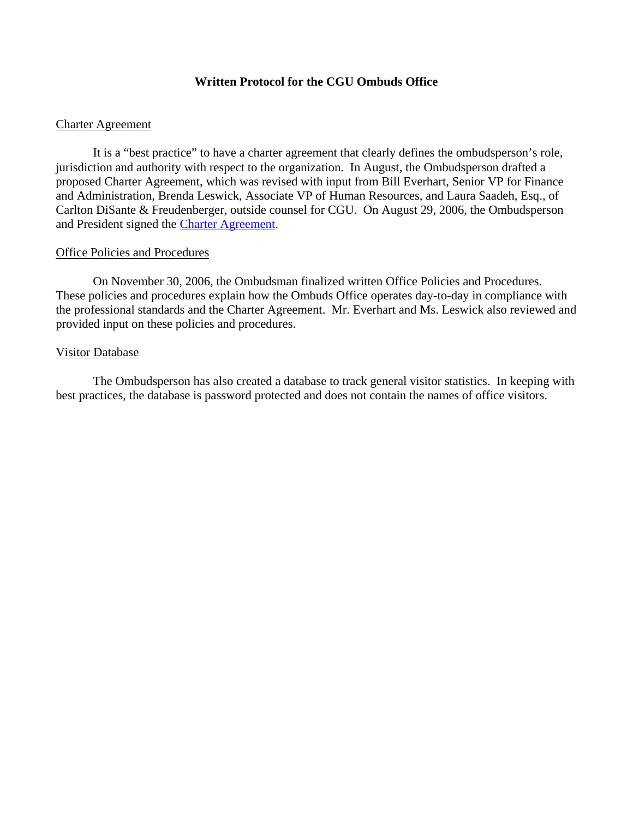# **Written Protocol for the CGU Ombuds Office**

## Charter Agreement

 It is a "best practice" to have a charter agreement that clearly defines the ombudsperson's role, jurisdiction and authority with respect to the organization. In August, the Ombudsperson drafted a proposed Charter Agreement, which was revised with input from Bill Everhart, Senior VP for Finance and Administration, Brenda Leswick, Associate VP of Human Resources, and Laura Saadeh, Esq., of Carlton DiSante & Freudenberger, outside counsel for CGU. On August 29, 2006, the Ombudsperson and President signed the [Charter Agreement](http://www.cgu.edu/PDFFiles/Presidents%20Office/Ombuds/Charter%20Final.pdf).

## Office Policies and Procedures

 On November 30, 2006, the Ombudsman finalized written Office Policies and Procedures. These policies and procedures explain how the Ombuds Office operates day-to-day in compliance with the professional standards and the Charter Agreement. Mr. Everhart and Ms. Leswick also reviewed and provided input on these policies and procedures.

## Visitor Database

 The Ombudsperson has also created a database to track general visitor statistics. In keeping with best practices, the database is password protected and does not contain the names of office visitors.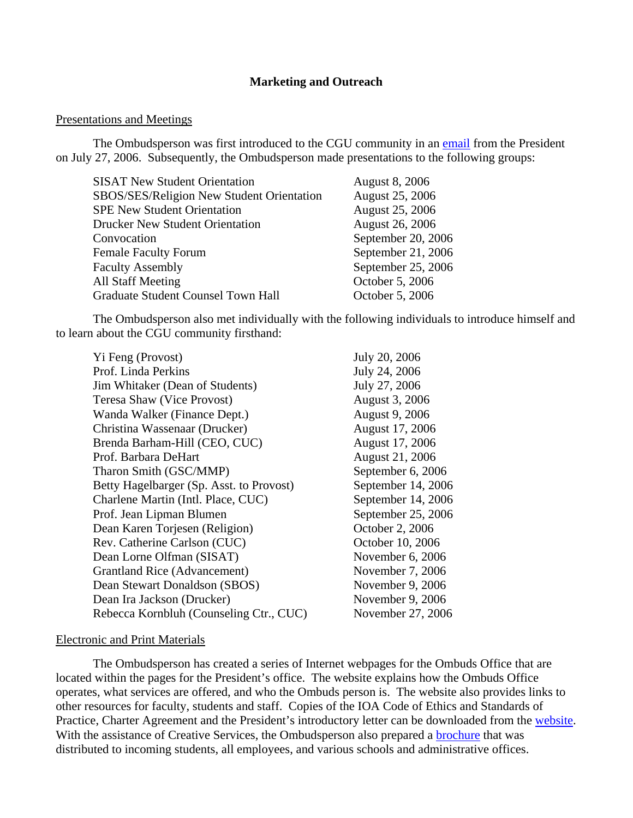## **Marketing and Outreach**

#### Presentations and Meetings

The Ombudsperson was first introduced to the CGU community in an [email](http://www.cgu.edu/include/pres_letter.pdf) from the President on July 27, 2006. Subsequently, the Ombudsperson made presentations to the following groups:

| <b>SISAT New Student Orientation</b>      | <b>August 8, 2006</b>  |
|-------------------------------------------|------------------------|
| SBOS/SES/Religion New Student Orientation | August 25, 2006        |
| <b>SPE New Student Orientation</b>        | August 25, 2006        |
| <b>Drucker New Student Orientation</b>    | <b>August 26, 2006</b> |
| Convocation                               | September 20, 2006     |
| <b>Female Faculty Forum</b>               | September 21, 2006     |
| <b>Faculty Assembly</b>                   | September 25, 2006     |
| <b>All Staff Meeting</b>                  | October 5, 2006        |
| <b>Graduate Student Counsel Town Hall</b> | October 5, 2006        |
|                                           |                        |

 The Ombudsperson also met individually with the following individuals to introduce himself and to learn about the CGU community firsthand:

| Yi Feng (Provost)                        |
|------------------------------------------|
| Prof. Linda Perkins                      |
| Jim Whitaker (Dean of Students)          |
| Teresa Shaw (Vice Provost)               |
| Wanda Walker (Finance Dept.)             |
| Christina Wassenaar (Drucker)            |
| Brenda Barham-Hill (CEO, CUC)            |
| Prof. Barbara DeHart                     |
| Tharon Smith (GSC/MMP)                   |
| Betty Hagelbarger (Sp. Asst. to Provost) |
| Charlene Martin (Intl. Place, CUC)       |
| Prof. Jean Lipman Blumen                 |
| Dean Karen Torjesen (Religion)           |
| Rev. Catherine Carlson (CUC)             |
| Dean Lorne Olfman (SISAT)                |
| Grantland Rice (Advancement)             |
| Dean Stewart Donaldson (SBOS)            |
| Dean Ira Jackson (Drucker)               |
| Rebecca Kornbluh (Counseling Ctr., CUC)  |

July 20, 2006 July 24, 2006 July 27, 2006 August 3, 2006 August 9, 2006 August 17, 2006 August 17, 2006 August 21, 2006 September 6, 2006 September 14, 2006 September 14, 2006 September 25, 2006 October 2, 2006 **October 10, 2006** November 6, 2006 November 7, 2006 November 9, 2006 November 9, 2006 November 27, 2006

#### Electronic and Print Materials

The Ombudsperson has created a series of Internet webpages for the Ombuds Office that are located within the pages for the President's office. The website explains how the Ombuds Office operates, what services are offered, and who the Ombuds person is. The website also provides links to other resources for faculty, students and staff. Copies of the IOA Code of Ethics and Standards of Practice, Charter Agreement and the President's introductory letter can be downloaded from the [website.](http://www.cgu.edu/pages/4389.asp) With the assistance of Creative Services, the Ombudsperson also prepared a [brochure](http://www.cgu.edu/PDFFiles/Presidents%20Office/Ombuds/ombuds_brochure.pdf) that was distributed to incoming students, all employees, and various schools and administrative offices.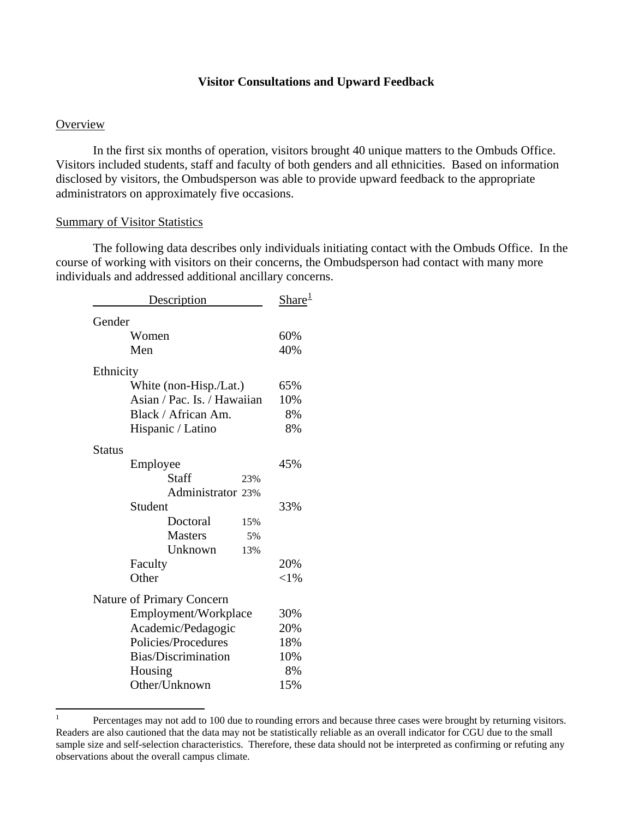## **Visitor Consultations and Upward Feedback**

#### **Overview**

 $\overline{a}$ 

 In the first six months of operation, visitors brought 40 unique matters to the Ombuds Office. Visitors included students, staff and faculty of both genders and all ethnicities. Based on information disclosed by visitors, the Ombudsperson was able to provide upward feedback to the appropriate administrators on approximately five occasions.

#### Summary of Visitor Statistics

The following data describes only individuals initiating contact with the Ombuds Office. In the course of working with visitors on their concerns, the Ombudsperson had contact with many more individuals and addressed additional ancillary concerns.

| Description                 | Share <sup>1</sup> |
|-----------------------------|--------------------|
| Gender                      |                    |
| Women                       | 60%                |
| Men                         | 40%                |
| Ethnicity                   |                    |
| White (non-Hisp./Lat.)      | 65%                |
| Asian / Pac. Is. / Hawaiian | 10%                |
| Black / African Am.         | 8%                 |
| Hispanic / Latino           | 8%                 |
| <b>Status</b>               |                    |
| Employee                    | 45%                |
| Staff<br>23%                |                    |
| Administrator 23%           |                    |
| Student                     | 33%                |
| Doctoral<br>15%             |                    |
| <b>Masters</b><br>5%        |                    |
| Unknown<br>13%              |                    |
| Faculty                     | 20%                |
| Other                       | ${<}1\%$           |
| Nature of Primary Concern   |                    |
| Employment/Workplace        | 30%                |
| Academic/Pedagogic          | 20%                |
| Policies/Procedures         | 18%                |
| Bias/Discrimination         | 10%                |
| Housing                     | 8%                 |
| Other/Unknown               | 15%                |

<span id="page-5-0"></span><sup>1</sup> Percentages may not add to 100 due to rounding errors and because three cases were brought by returning visitors. Readers are also cautioned that the data may not be statistically reliable as an overall indicator for CGU due to the small sample size and self-selection characteristics. Therefore, these data should not be interpreted as confirming or refuting any observations about the overall campus climate.